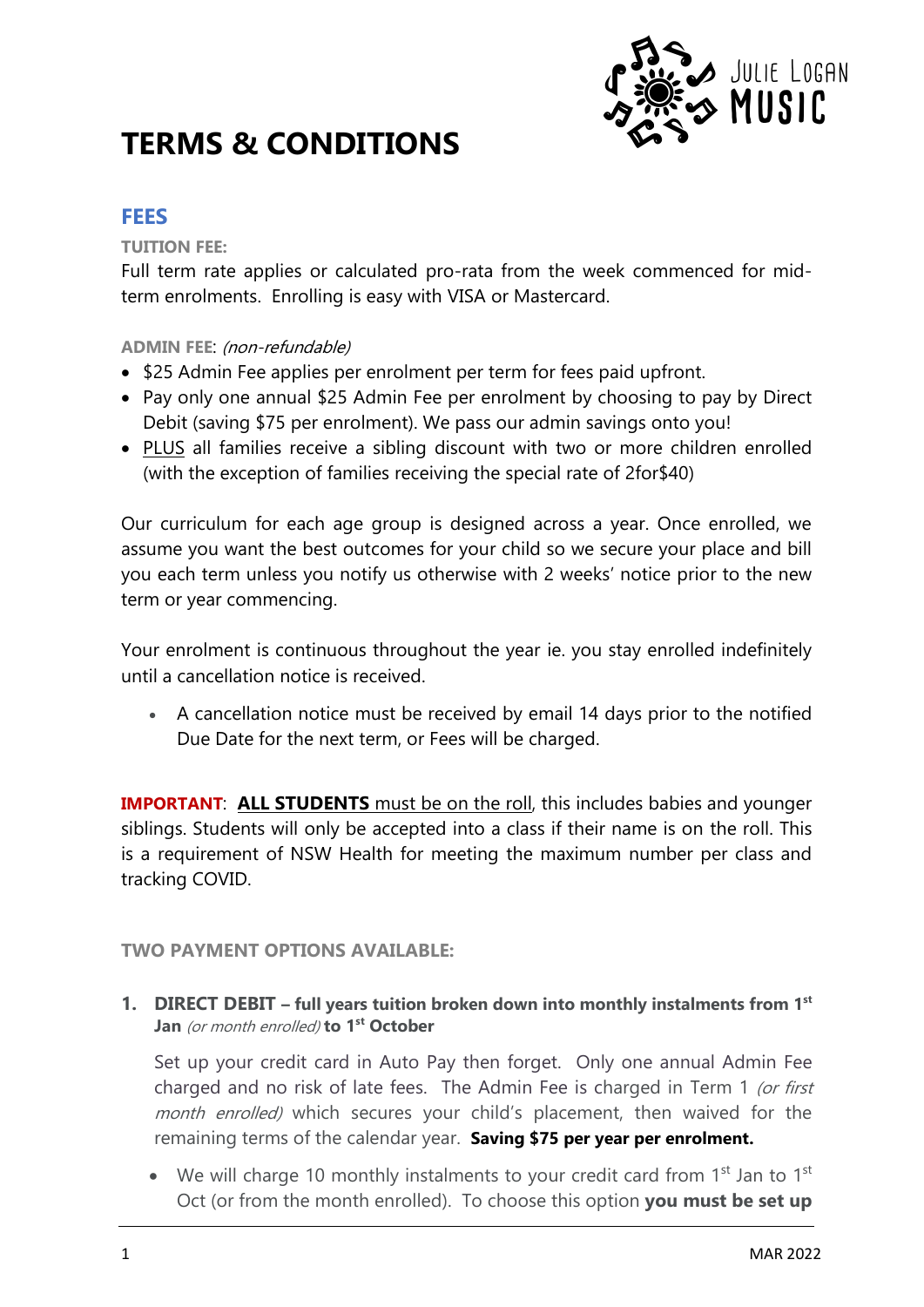

# **TERMS & CONDITIONS**

## **FEES**

#### **TUITION FEE:**

Full term rate applies or calculated pro-rata from the week commenced for midterm enrolments. Enrolling is easy with VISA or Mastercard.

#### **ADMIN FEE**: (non-refundable)

- \$25 Admin Fee applies per enrolment per term for fees paid upfront.
- Pay only one annual \$25 Admin Fee per enrolment by choosing to pay by Direct Debit (saving \$75 per enrolment). We pass our admin savings onto you!
- PLUS all families receive a sibling discount with two or more children enrolled (with the exception of families receiving the special rate of 2for\$40)

Our curriculum for each age group is designed across a year. Once enrolled, we assume you want the best outcomes for your child so we secure your place and bill you each term unless you notify us otherwise with 2 weeks' notice prior to the new term or year commencing.

Your enrolment is continuous throughout the year ie. you stay enrolled indefinitely until a cancellation notice is received.

• A cancellation notice must be received by email 14 days prior to the notified Due Date for the next term, or Fees will be charged.

**IMPORTANT: ALL STUDENTS** must be on the roll, this includes babies and younger siblings. Students will only be accepted into a class if their name is on the roll. This is a requirement of NSW Health for meeting the maximum number per class and tracking COVID.

**TWO PAYMENT OPTIONS AVAILABLE:** 

**1. DIRECT DEBIT – full years tuition broken down into monthly instalments from 1 st Jan** (or month enrolled) **to 1st October**

Set up your credit card in Auto Pay then forget. Only one annual Admin Fee charged and no risk of late fees. The Admin Fee is charged in Term 1 (or first month enrolled) which secures your child's placement, then waived for the remaining terms of the calendar year. **Saving \$75 per year per enrolment.**

• We will charge 10 monthly instalments to your credit card from 1<sup>st</sup> Jan to 1<sup>st</sup> Oct (or from the month enrolled). To choose this option **you must be set up**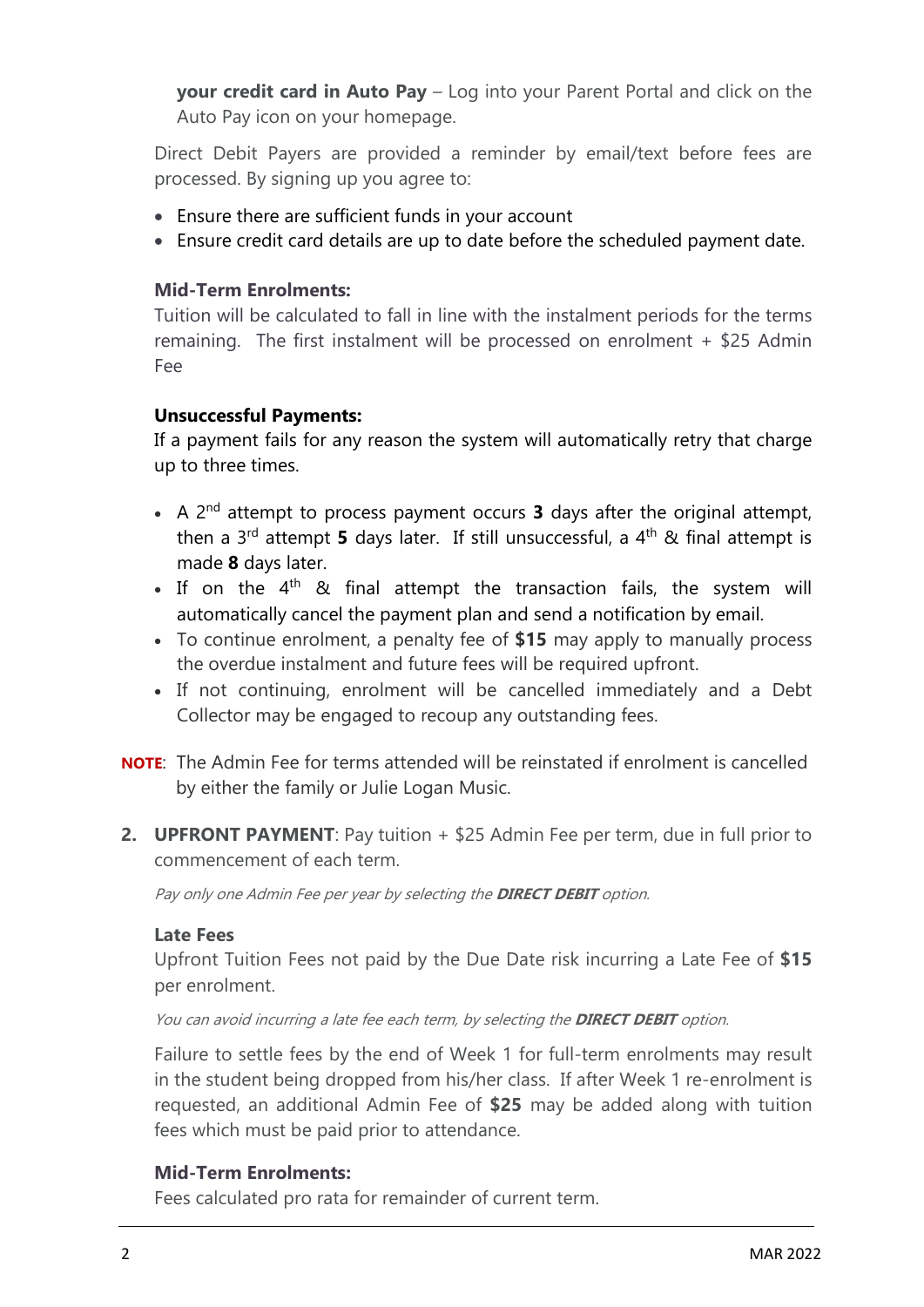**your credit card in Auto Pay** – Log into your Parent Portal and click on the Auto Pay icon on your homepage.

Direct Debit Payers are provided a reminder by email/text before fees are processed. By signing up you agree to:

- Ensure there are sufficient funds in your account
- Ensure credit card details are up to date before the scheduled payment date.

## **Mid-Term Enrolments:**

Tuition will be calculated to fall in line with the instalment periods for the terms remaining. The first instalment will be processed on enrolment + \$25 Admin Fee

#### **Unsuccessful Payments:**

If a payment fails for any reason the system will automatically retry that charge up to three times.

- A 2<sup>nd</sup> attempt to process payment occurs **3** days after the original attempt, then a 3<sup>rd</sup> attempt **5** days later. If still unsuccessful, a 4<sup>th</sup> & final attempt is made **8** days later.
- If on the  $4^{\text{th}}$  & final attempt the transaction fails, the system will automatically cancel the payment plan and send a notification by email.
- To continue enrolment, a penalty fee of **\$15** may apply to manually process the overdue instalment and future fees will be required upfront.
- If not continuing, enrolment will be cancelled immediately and a Debt Collector may be engaged to recoup any outstanding fees.
- **NOTE**: The Admin Fee for terms attended will be reinstated if enrolment is cancelled by either the family or Julie Logan Music.
- **2. UPFRONT PAYMENT**: Pay tuition + \$25 Admin Fee per term, due in full prior to commencement of each term.

Pay only one Admin Fee per year by selecting the **DIRECT DEBIT** option.

#### **Late Fees**

Upfront Tuition Fees not paid by the Due Date risk incurring a Late Fee of **\$15** per enrolment.

You can avoid incurring a late fee each term, by selecting the **DIRECT DEBIT** option.

Failure to settle fees by the end of Week 1 for full-term enrolments may result in the student being dropped from his/her class. If after Week 1 re-enrolment is requested, an additional Admin Fee of **\$25** may be added along with tuition fees which must be paid prior to attendance.

#### **Mid-Term Enrolments:**

Fees calculated pro rata for remainder of current term.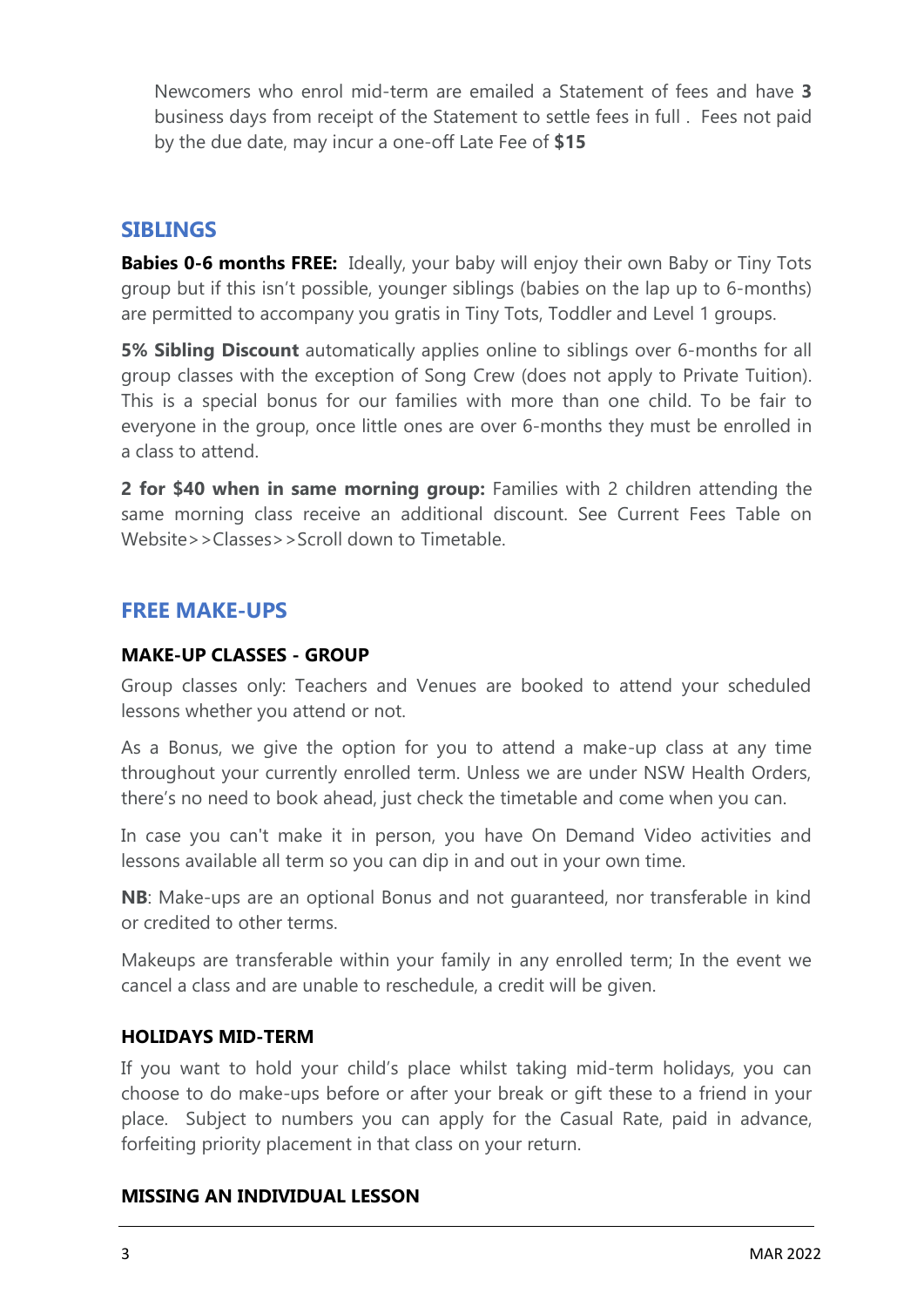Newcomers who enrol mid-term are emailed a Statement of fees and have **3** business days from receipt of the Statement to settle fees in full . Fees not paid by the due date, may incur a one-off Late Fee of **\$15**

## **SIBLINGS**

**Babies 0-6 months FREE:** Ideally, your baby will enjoy their own Baby or Tiny Tots group but if this isn't possible, younger siblings (babies on the lap up to 6-months) are permitted to accompany you gratis in Tiny Tots, Toddler and Level 1 groups.

**5% Sibling Discount** automatically applies online to siblings over 6-months for all group classes with the exception of Song Crew (does not apply to Private Tuition). This is a special bonus for our families with more than one child. To be fair to everyone in the group, once little ones are over 6-months they must be enrolled in a class to attend.

**2 for \$40 when in same morning group:** Families with 2 children attending the same morning class receive an additional discount. See Current Fees Table on Website>>Classes>>Scroll down to Timetable.

## **FREE MAKE-UPS**

#### **MAKE-UP CLASSES - GROUP**

Group classes only: Teachers and Venues are booked to attend your scheduled lessons whether you attend or not.

As a Bonus, we give the option for you to attend a make-up class at any time throughout your currently enrolled term. Unless we are under NSW Health Orders, there's no need to book ahead, just check the timetable and come when you can.

In case you can't make it in person, you have On Demand Video activities and lessons available all term so you can dip in and out in your own time.

**NB**: Make-ups are an optional Bonus and not guaranteed, nor transferable in kind or credited to other terms.

Makeups are transferable within your family in any enrolled term; In the event we cancel a class and are unable to reschedule, a credit will be given.

#### **HOLIDAYS MID-TERM**

If you want to hold your child's place whilst taking mid-term holidays, you can choose to do make-ups before or after your break or gift these to a friend in your place. Subject to numbers you can apply for the Casual Rate, paid in advance, forfeiting priority placement in that class on your return.

#### **MISSING AN INDIVIDUAL LESSON**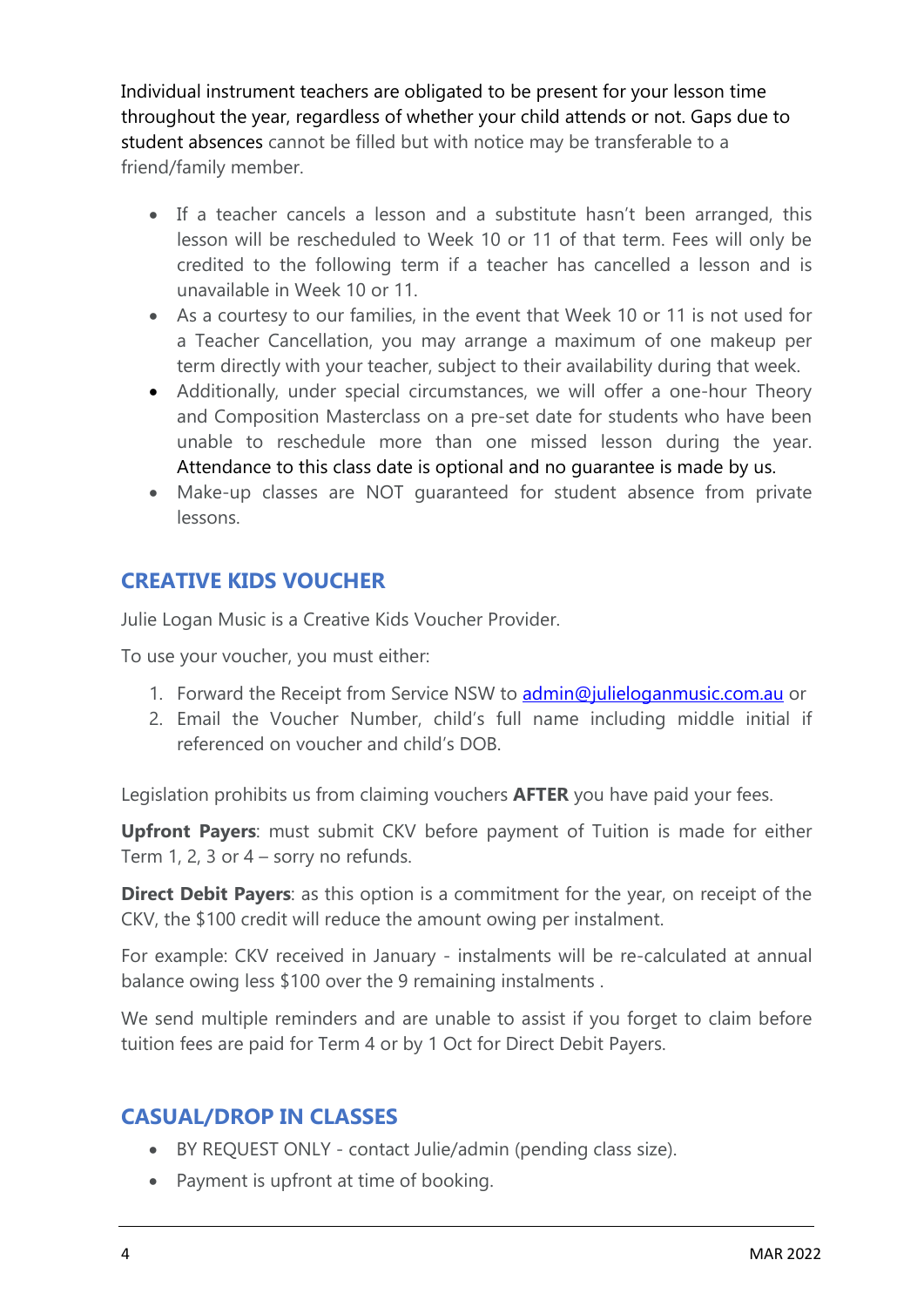Individual instrument teachers are obligated to be present for your lesson time throughout the year, regardless of whether your child attends or not. Gaps due to student absences cannot be filled but with notice may be transferable to a friend/family member.

- If a teacher cancels a lesson and a substitute hasn't been arranged, this lesson will be rescheduled to Week 10 or 11 of that term. Fees will only be credited to the following term if a teacher has cancelled a lesson and is unavailable in Week 10 or 11.
- As a courtesy to our families, in the event that Week 10 or 11 is not used for a Teacher Cancellation, you may arrange a maximum of one makeup per term directly with your teacher, subject to their availability during that week.
- Additionally, under special circumstances, we will offer a one-hour Theory and Composition Masterclass on a pre-set date for students who have been unable to reschedule more than one missed lesson during the year. Attendance to this class date is optional and no guarantee is made by us.
- Make-up classes are NOT guaranteed for student absence from private lessons.

# **CREATIVE KIDS VOUCHER**

Julie Logan Music is a Creative Kids Voucher Provider.

To use your voucher, you must either:

- 1. Forward the Receipt from Service NSW to [admin@julieloganmusic.com.au](mailto:admin@julieloganmusic.com.au) or
- 2. Email the Voucher Number, child's full name including middle initial if referenced on voucher and child's DOB.

Legislation prohibits us from claiming vouchers **AFTER** you have paid your fees.

**Upfront Payers**: must submit CKV before payment of Tuition is made for either Term 1, 2, 3 or 4 – sorry no refunds.

**Direct Debit Payers**: as this option is a commitment for the year, on receipt of the CKV, the \$100 credit will reduce the amount owing per instalment.

For example: CKV received in January - instalments will be re-calculated at annual balance owing less \$100 over the 9 remaining instalments .

We send multiple reminders and are unable to assist if you forget to claim before tuition fees are paid for Term 4 or by 1 Oct for Direct Debit Payers.

# **CASUAL/DROP IN CLASSES**

- BY REQUEST ONLY contact Julie/admin (pending class size).
- Payment is upfront at time of booking.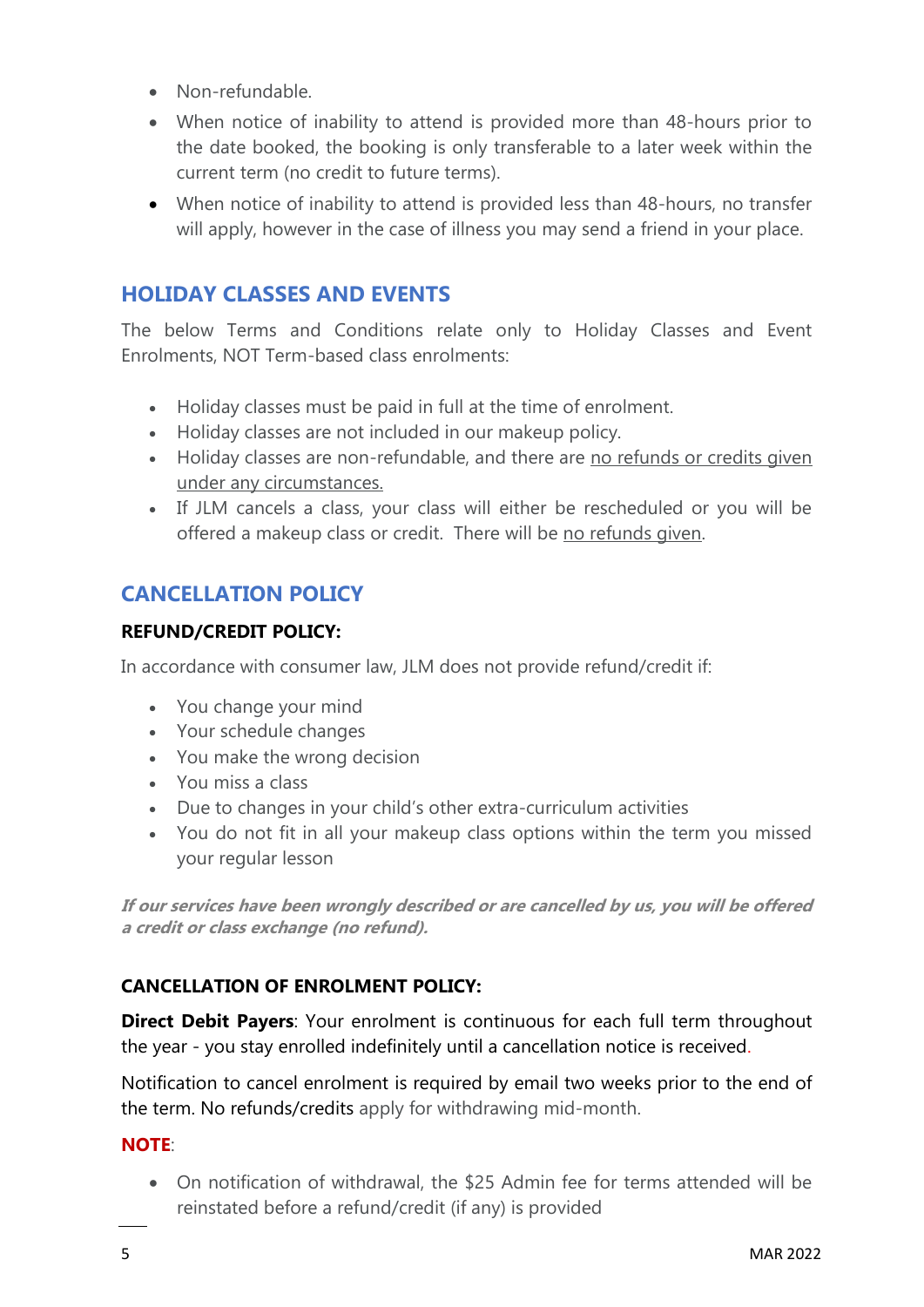- Non-refundable.
- When notice of inability to attend is provided more than 48-hours prior to the date booked, the booking is only transferable to a later week within the current term (no credit to future terms).
- When notice of inability to attend is provided less than 48-hours, no transfer will apply, however in the case of illness you may send a friend in your place.

# **HOLIDAY CLASSES AND EVENTS**

The below Terms and Conditions relate only to Holiday Classes and Event Enrolments, NOT Term-based class enrolments:

- Holiday classes must be paid in full at the time of enrolment.
- Holiday classes are not included in our makeup policy.
- Holiday classes are non-refundable, and there are no refunds or credits given under any circumstances.
- If JLM cancels a class, your class will either be rescheduled or you will be offered a makeup class or credit. There will be no refunds given.

# **CANCELLATION POLICY**

## **REFUND/CREDIT POLICY:**

In accordance with consumer law, JLM does not provide refund/credit if:

- You change your mind
- Your schedule changes
- You make the wrong decision
- You miss a class
- Due to changes in your child's other extra-curriculum activities
- You do not fit in all your makeup class options within the term you missed your regular lesson

**If our services have been wrongly described or are cancelled by us, you will be offered a credit or class exchange (no refund).**

## **CANCELLATION OF ENROLMENT POLICY:**

**Direct Debit Payers**: Your enrolment is continuous for each full term throughout the year - you stay enrolled indefinitely until a cancellation notice is received.

Notification to cancel enrolment is required by email two weeks prior to the end of the term. No refunds/credits apply for withdrawing mid-month.

## **NOTE**:

• On notification of withdrawal, the \$25 Admin fee for terms attended will be reinstated before a refund/credit (if any) is provided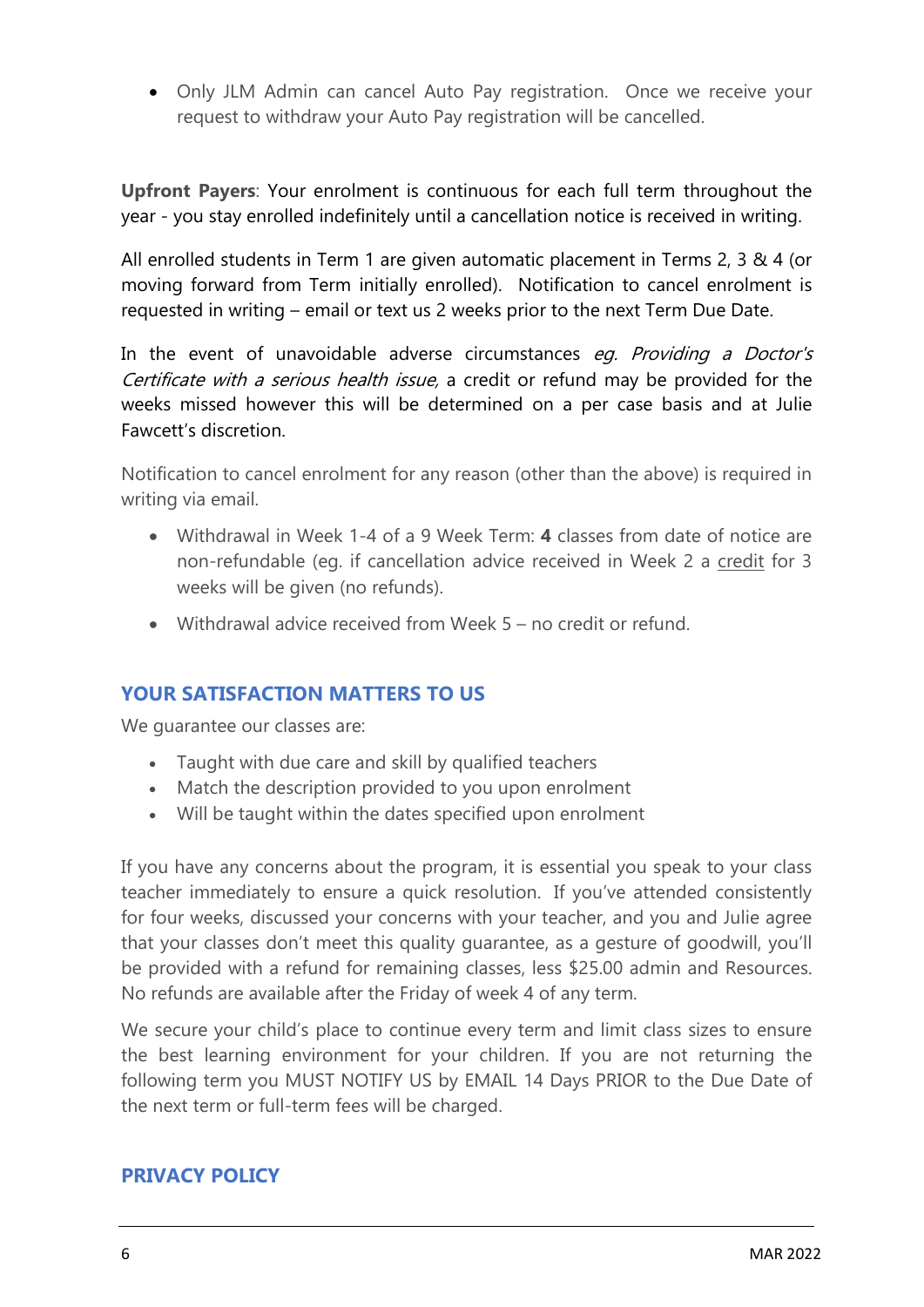• Only JLM Admin can cancel Auto Pay registration. Once we receive your request to withdraw your Auto Pay registration will be cancelled.

**Upfront Payers**: Your enrolment is continuous for each full term throughout the year - you stay enrolled indefinitely until a cancellation notice is received in writing.

All enrolled students in Term 1 are given automatic placement in Terms 2, 3 & 4 (or moving forward from Term initially enrolled). Notification to cancel enrolment is requested in writing – email or text us 2 weeks prior to the next Term Due Date.

In the event of unavoidable adverse circumstances eg. Providing a Doctor's Certificate with a serious health issue, a credit or refund may be provided for the weeks missed however this will be determined on a per case basis and at Julie Fawcett's discretion.

Notification to cancel enrolment for any reason (other than the above) is required in writing via email.

- Withdrawal in Week 1-4 of a 9 Week Term: **4** classes from date of notice are non-refundable (eg. if cancellation advice received in Week 2 a credit for 3 weeks will be given (no refunds).
- Withdrawal advice received from Week 5 no credit or refund.

## **YOUR SATISFACTION MATTERS TO US**

We quarantee our classes are:

- Taught with due care and skill by qualified teachers
- Match the description provided to you upon enrolment
- Will be taught within the dates specified upon enrolment

If you have any concerns about the program, it is essential you speak to your class teacher immediately to ensure a quick resolution. If you've attended consistently for four weeks, discussed your concerns with your teacher, and you and Julie agree that your classes don't meet this quality guarantee, as a gesture of goodwill, you'll be provided with a refund for remaining classes, less \$25.00 admin and Resources. No refunds are available after the Friday of week 4 of any term.

We secure your child's place to continue every term and limit class sizes to ensure the best learning environment for your children. If you are not returning the following term you MUST NOTIFY US by EMAIL 14 Days PRIOR to the Due Date of the next term or full-term fees will be charged.

## **PRIVACY POLICY**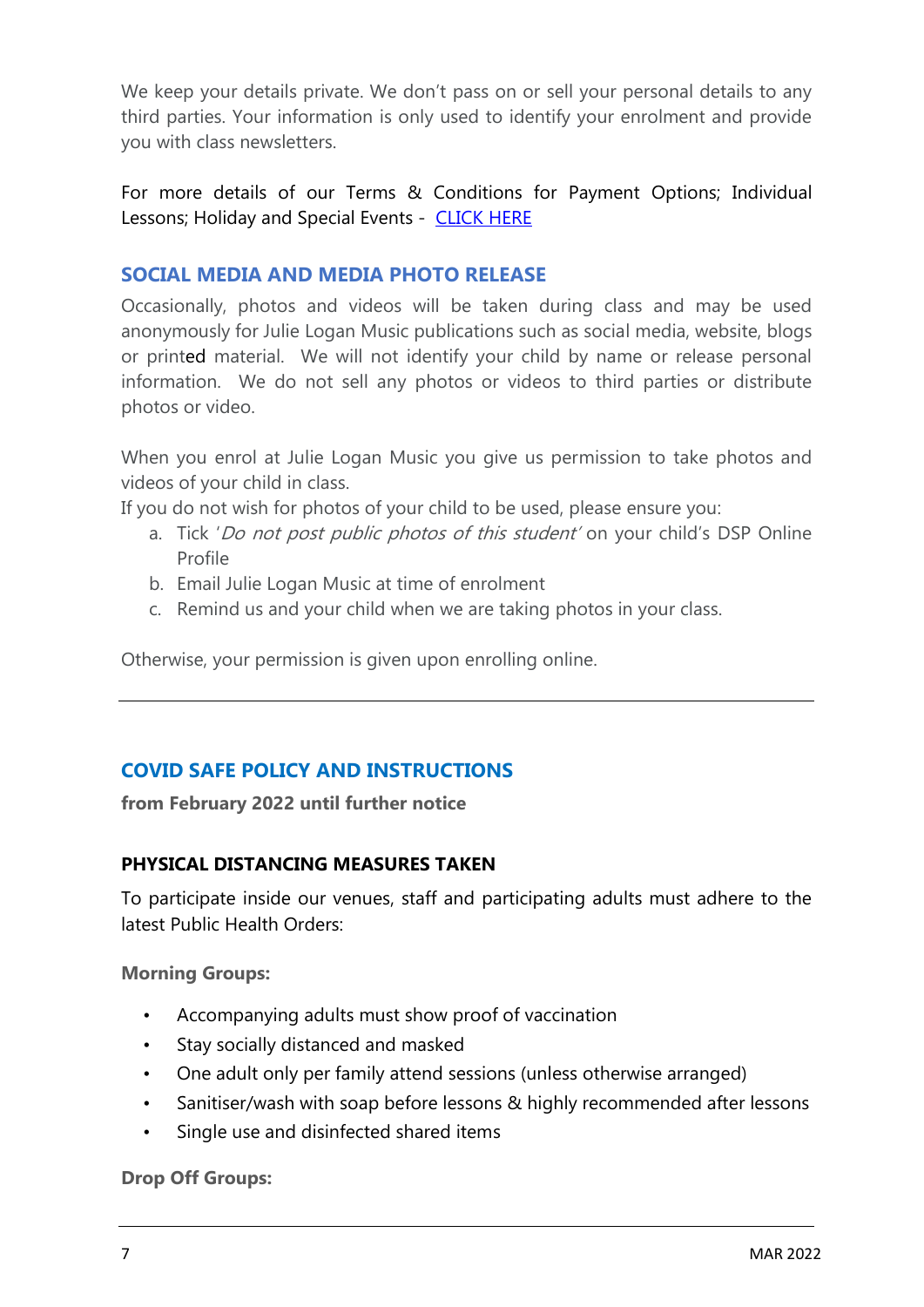We keep your details private. We don't pass on or sell your personal details to any third parties. Your information is only used to identify your enrolment and provide you with class newsletters.

For more details of our Terms & Conditions for Payment Options; Individual Lessons; Holiday and Special Events - [CLICK HERE](https://julieloganmusic.com.au/terms-conditions/)

## **SOCIAL MEDIA AND MEDIA PHOTO RELEASE**

Occasionally, photos and videos will be taken during class and may be used anonymously for Julie Logan Music publications such as social media, website, blogs or printed material. We will not identify your child by name or release personal information. We do not sell any photos or videos to third parties or distribute photos or video.

When you enrol at Julie Logan Music you give us permission to take photos and videos of your child in class.

If you do not wish for photos of your child to be used, please ensure you:

- a. Tick 'Do not post public photos of this student' on your child's DSP Online Profile
- b. Email Julie Logan Music at time of enrolment
- c. Remind us and your child when we are taking photos in your class.

Otherwise, your permission is given upon enrolling online.

# **COVID SAFE POLICY AND INSTRUCTIONS**

**from February 2022 until further notice**

## **PHYSICAL DISTANCING MEASURES TAKEN**

To participate inside our venues, staff and participating adults must adhere to the latest Public Health Orders:

**Morning Groups:**

- Accompanying adults must show proof of vaccination
- Stay socially distanced and masked
- One adult only per family attend sessions (unless otherwise arranged)
- Sanitiser/wash with soap before lessons & highly recommended after lessons
- Single use and disinfected shared items

**Drop Off Groups:**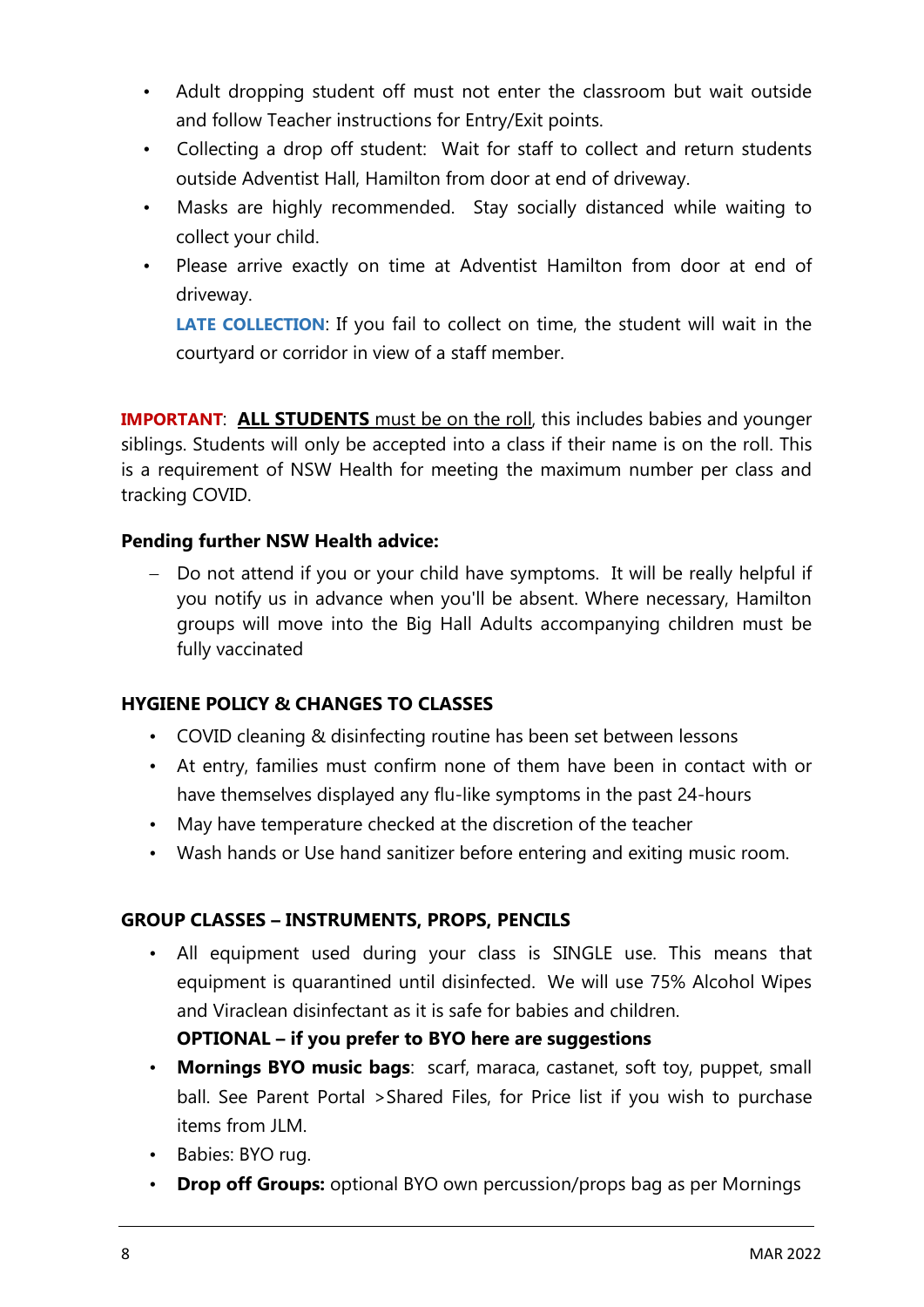- Adult dropping student off must not enter the classroom but wait outside and follow Teacher instructions for Entry/Exit points.
- Collecting a drop off student: Wait for staff to collect and return students outside Adventist Hall, Hamilton from door at end of driveway.
- Masks are highly recommended. Stay socially distanced while waiting to collect your child.
- Please arrive exactly on time at Adventist Hamilton from door at end of driveway.

**LATE COLLECTION**: If you fail to collect on time, the student will wait in the courtyard or corridor in view of a staff member.

**IMPORTANT**: **ALL STUDENTS** must be on the roll, this includes babies and younger siblings. Students will only be accepted into a class if their name is on the roll. This is a requirement of NSW Health for meeting the maximum number per class and tracking COVID.

## **Pending further NSW Health advice:**

− Do not attend if you or your child have symptoms. It will be really helpful if you notify us in advance when you'll be absent. Where necessary, Hamilton groups will move into the Big Hall Adults accompanying children must be fully vaccinated

## **HYGIENE POLICY & CHANGES TO CLASSES**

- COVID cleaning & disinfecting routine has been set between lessons
- At entry, families must confirm none of them have been in contact with or have themselves displayed any flu-like symptoms in the past 24-hours
- May have temperature checked at the discretion of the teacher
- Wash hands or Use hand sanitizer before entering and exiting music room.

## **GROUP CLASSES – INSTRUMENTS, PROPS, PENCILS**

• All equipment used during your class is SINGLE use. This means that equipment is quarantined until disinfected. We will use 75% Alcohol Wipes and Viraclean disinfectant as it is safe for babies and children.

## **OPTIONAL – if you prefer to BYO here are suggestions**

- **Mornings BYO music bags**: scarf, maraca, castanet, soft toy, puppet, small ball. See Parent Portal >Shared Files, for Price list if you wish to purchase items from JLM.
- Babies: BYO rug.
- **Drop off Groups:** optional BYO own percussion/props bag as per Mornings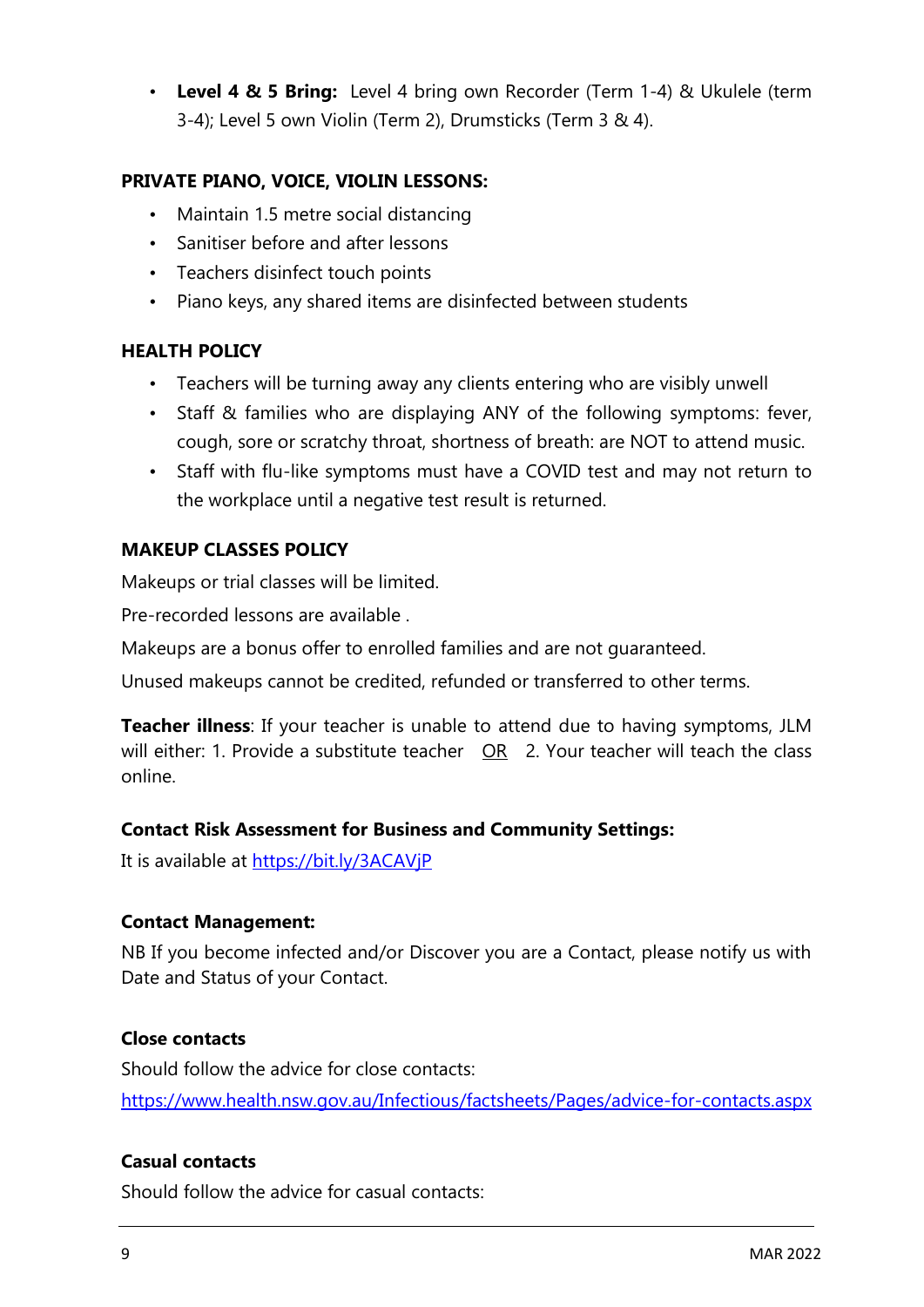• **Level 4 & 5 Bring:** Level 4 bring own Recorder (Term 1-4) & Ukulele (term 3-4); Level 5 own Violin (Term 2), Drumsticks (Term 3 & 4).

## **PRIVATE PIANO, VOICE, VIOLIN LESSONS:**

- Maintain 1.5 metre social distancing
- Sanitiser before and after lessons
- Teachers disinfect touch points
- Piano keys, any shared items are disinfected between students

## **HEALTH POLICY**

- Teachers will be turning away any clients entering who are visibly unwell
- Staff & families who are displaying ANY of the following symptoms: fever, cough, sore or scratchy throat, shortness of breath: are NOT to attend music.
- Staff with flu-like symptoms must have a COVID test and may not return to the workplace until a negative test result is returned.

## **MAKEUP CLASSES POLICY**

Makeups or trial classes will be limited.

Pre-recorded lessons are available .

Makeups are a bonus offer to enrolled families and are not guaranteed.

Unused makeups cannot be credited, refunded or transferred to other terms.

**Teacher illness**: If your teacher is unable to attend due to having symptoms, JLM will either: 1. Provide a substitute teacher OR 2. Your teacher will teach the class online.

## **Contact Risk Assessment for Business and Community Settings:**

It is available at<https://bit.ly/3ACAVjP>

## **Contact Management:**

NB If you become infected and/or Discover you are a Contact, please notify us with Date and Status of your Contact.

#### **Close contacts**

Should follow the advice for close contacts: <https://www.health.nsw.gov.au/Infectious/factsheets/Pages/advice-for-contacts.aspx>

## **Casual contacts**

Should follow the advice for casual contacts: